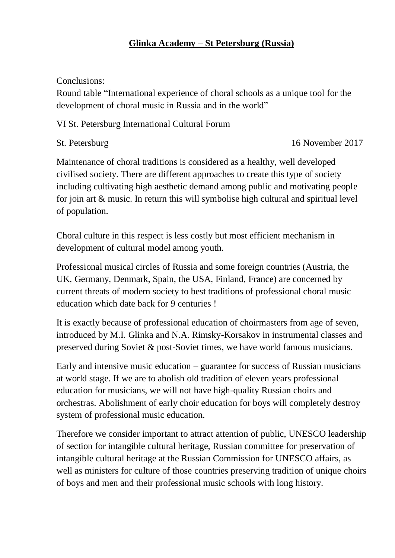## **Glinka Academy – St Petersburg (Russia)**

Conclusions:

Round table "International experience of choral schools as a unique tool for the development of choral music in Russia and in the world"

VI St. Petersburg International Cultural Forum

St. Petersburg 16 November 2017

Maintenance of choral traditions is considered as a healthy, well developed civilised society. There are different approaches to create this type of society including cultivating high aesthetic demand among public and motivating people for join art & music. In return this will symbolise high cultural and spiritual level of population.

Choral culture in this respect is less costly but most efficient mechanism in development of cultural model among youth.

Professional musical circles of Russia and some foreign countries (Austria, the UK, Germany, Denmark, Spain, the USA, Finland, France) are concerned by current threats of modern society to best traditions of professional choral music education which date back for 9 centuries !

It is exactly because of professional education of choirmasters from age of seven, introduced by M.I. Glinka and N.A. Rimsky-Korsakov in instrumental classes and preserved during Soviet & post-Soviet times, we have world famous musicians.

Early and intensive music education – guarantee for success of Russian musicians at world stage. If we are to abolish old tradition of eleven years professional education for musicians, we will not have high-quality Russian choirs and orchestras. Abolishment of early choir education for boys will completely destroy system of professional music education.

Therefore we consider important to attract attention of public, UNESCO leadership of section for intangible cultural heritage, Russian committee for preservation of intangible cultural heritage at the Russian Commission for UNESCO affairs, as well as ministers for culture of those countries preserving tradition of unique choirs of boys and men and their professional music schools with long history.